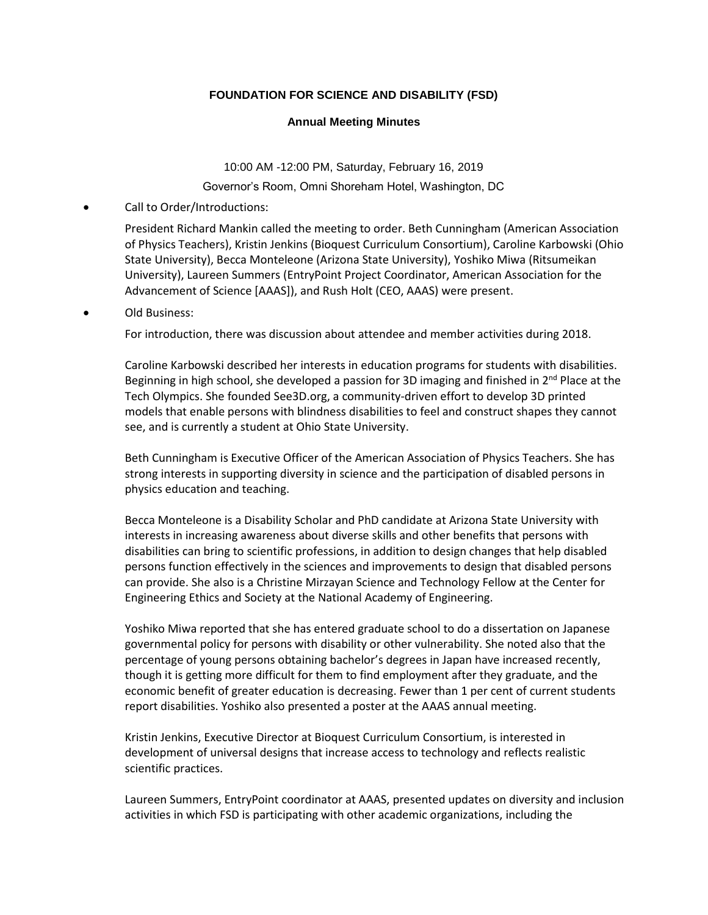## **FOUNDATION FOR SCIENCE AND DISABILITY (FSD)**

## **Annual Meeting Minutes**

10:00 AM -12:00 PM, Saturday, February 16, 2019 Governor's Room, Omni Shoreham Hotel, Washington, DC

• Call to Order/Introductions:

President Richard Mankin called the meeting to order. Beth Cunningham (American Association of Physics Teachers), Kristin Jenkins (Bioquest Curriculum Consortium), Caroline Karbowski (Ohio State University), Becca Monteleone (Arizona State University), Yoshiko Miwa (Ritsumeikan University), Laureen Summers (EntryPoint Project Coordinator, American Association for the Advancement of Science [AAAS]), and Rush Holt (CEO, AAAS) were present.

• Old Business:

For introduction, there was discussion about attendee and member activities during 2018.

Caroline Karbowski described her interests in education programs for students with disabilities. Beginning in high school, she developed a passion for 3D imaging and finished in  $2^{nd}$  Place at the Tech Olympics. She founded See3D.org, a community-driven effort to develop 3D printed models that enable persons with blindness disabilities to feel and construct shapes they cannot see, and is currently a student at Ohio State University.

Beth Cunningham is Executive Officer of the American Association of Physics Teachers. She has strong interests in supporting diversity in science and the participation of disabled persons in physics education and teaching.

Becca Monteleone is a Disability Scholar and PhD candidate at Arizona State University with interests in increasing awareness about diverse skills and other benefits that persons with disabilities can bring to scientific professions, in addition to design changes that help disabled persons function effectively in the sciences and improvements to design that disabled persons can provide. She also is a Christine Mirzayan Science and Technology Fellow at the Center for Engineering Ethics and Society at the National Academy of Engineering.

Yoshiko Miwa reported that she has entered graduate school to do a dissertation on Japanese governmental policy for persons with disability or other vulnerability. She noted also that the percentage of young persons obtaining bachelor's degrees in Japan have increased recently, though it is getting more difficult for them to find employment after they graduate, and the economic benefit of greater education is decreasing. Fewer than 1 per cent of current students report disabilities. Yoshiko also presented a poster at the AAAS annual meeting.

Kristin Jenkins, Executive Director at Bioquest Curriculum Consortium, is interested in development of universal designs that increase access to technology and reflects realistic scientific practices.

Laureen Summers, EntryPoint coordinator at AAAS, presented updates on diversity and inclusion activities in which FSD is participating with other academic organizations, including the